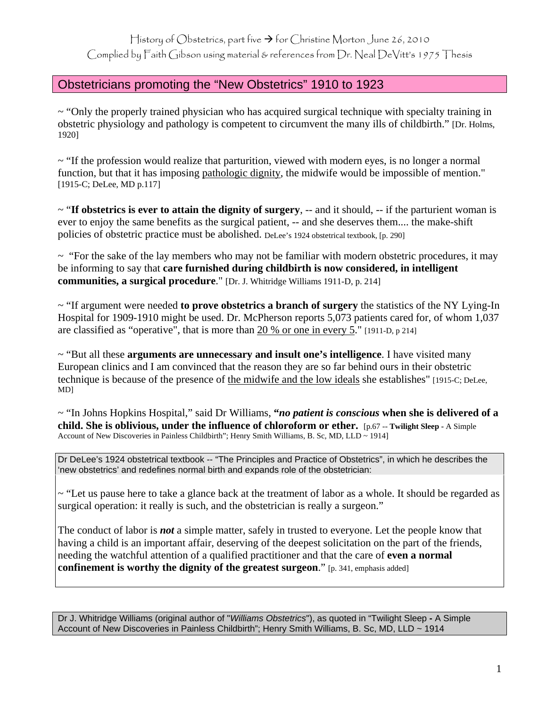History of Obstetrics, part five  $\rightarrow$  for Christine Morton June 26, 2010

Complied by Faith Gibson using material & references from Dr. Neal DeVitt's 1975 Thesis

## Obstetricians promoting the "New Obstetrics" 1910 to 1923

 $\sim$  "Only the properly trained physician who has acquired surgical technique with specialty training in obstetric physiology and pathology is competent to circumvent the many ills of childbirth." [Dr. Holms, 1920]

 $\sim$  "If the profession would realize that parturition, viewed with modern eyes, is no longer a normal function, but that it has imposing pathologic dignity, the midwife would be impossible of mention." [1915-C; DeLee, MD p.117]

~ "**If obstetrics is ever to attain the dignity of surgery**, -- and it should, -- if the parturient woman is ever to enjoy the same benefits as the surgical patient, -- and she deserves them.... the make-shift policies of obstetric practice must be abolished. DeLee's 1924 obstetrical textbook, [p. 290]

 $\sim$  "For the sake of the lay members who may not be familiar with modern obstetric procedures, it may be informing to say that **care furnished during childbirth is now considered, in intelligent communities, a surgical procedure**." [Dr. J. Whitridge Williams 1911-D, p. 214]

~ "If argument were needed **to prove obstetrics a branch of surgery** the statistics of the NY Lying-In Hospital for 1909-1910 might be used. Dr. McPherson reports 5,073 patients cared for, of whom 1,037 are classified as "operative", that is more than 20 % or one in every 5." [1911-D, p 214]

~ "But all these **arguments are unnecessary and insult one's intelligence**. I have visited many European clinics and I am convinced that the reason they are so far behind ours in their obstetric technique is because of the presence of the midwife and the low ideals she establishes" [1915-C; DeLee, MD]

~ "In Johns Hopkins Hospital," said Dr Williams, **"***no patient is conscious* **when she is delivered of a child. She is oblivious, under the influence of chloroform or ether.** [p.67 -- **Twilight Sleep -** A Simple Account of New Discoveries in Painless Childbirth"; Henry Smith Williams, B. Sc, MD, LLD ~ 1914]

Dr DeLee's 1924 obstetrical textbook -- "The Principles and Practice of Obstetrics", in which he describes the 'new obstetrics' and redefines normal birth and expands role of the obstetrician:

~ "Let us pause here to take a glance back at the treatment of labor as a whole. It should be regarded as surgical operation: it really is such, and the obstetrician is really a surgeon."

The conduct of labor is *not* a simple matter, safely in trusted to everyone. Let the people know that having a child is an important affair, deserving of the deepest solicitation on the part of the friends, needing the watchful attention of a qualified practitioner and that the care of **even a normal confinement is worthy the dignity of the greatest surgeon."** [p. 341, emphasis added]

Dr J. Whitridge Williams (original author of "*Williams Obstetrics*"), as quoted in "Twilight Sleep **-** A Simple Account of New Discoveries in Painless Childbirth"; Henry Smith Williams, B. Sc, MD, LLD ~ 1914